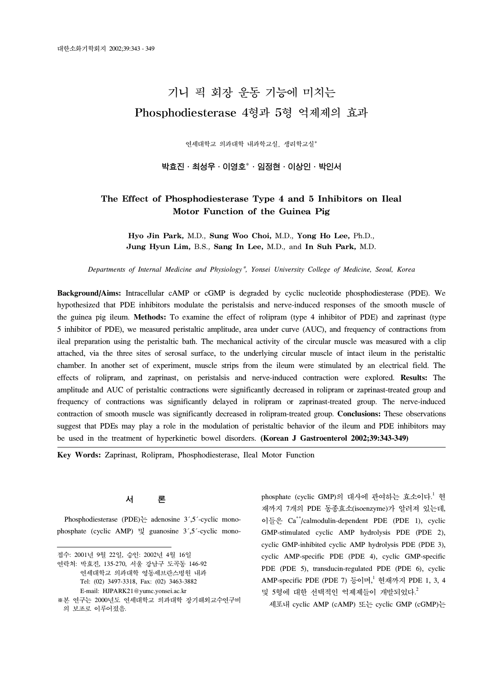# 기니 픽 회장 운동 기능에 미치는 Phosphodiesterase 4형과 5형 억제제의 효과

연세대학교 의과대학 내과학교실, 생리학교실\*

박효진·최성우·이영호\*·임정현·이상인·박인서

# **The Effect of Phosphodiesterase Type 4 and 5 Inhibitors on Ileal Motor Function of the Guinea Pig**

**Hyo Jin Park,** M.D., **Sung Woo Choi,** M.D., **Yong Ho Lee,** Ph.D., **Jung Hyun Lim,** B.S., **Sang In Lee,** M.D., and **In Suh Park,** M.D.

*Departments of Internal Medicine and Physiology*\**, Yonsei University College of Medicine, Seoul, Korea*

**Background/Aims:** Intracellular cAMP or cGMP is degraded by cyclic nucleotide phosphodiesterase (PDE). We hypothesized that PDE inhibitors modulate the peristalsis and nerve-induced responses of the smooth muscle of the guinea pig ileum. **Methods:** To examine the effect of rolipram (type 4 inhibitor of PDE) and zaprinast (type 5 inhibitor of PDE), we measured peristaltic amplitude, area under curve (AUC), and frequency of contractions from ileal preparation using the peristaltic bath. The mechanical activity of the circular muscle was measured with a clip attached, via the three sites of serosal surface, to the underlying circular muscle of intact ileum in the peristaltic chamber. In another set of experiment, muscle strips from the ileum were stimulated by an electrical field. The effects of rolipram, and zaprinast, on peristalsis and nerve-induced contraction were explored. **Results:** The amplitude and AUC of peristaltic contractions were significantly decreased in rolipram or zaprinast-treated group and frequency of contractions was significantly delayed in rolipram or zaprinast-treated group. The nerve-induced contraction of smooth muscle was significantly decreased in rolipram-treated group. **Conclusions:** These observations suggest that PDEs may play a role in the modulation of peristaltic behavior of the ileum and PDE inhibitors may be used in the treatment of hyperkinetic bowel disorders. **(Korean J Gastroenterol 2002;39:343-349)**

**Key Words:** Zaprinast, Rolipram, Phosphodiesterase, Ileal Motor Function

# 서 론

Phosphodiesterase (PDE)는 adenosine 3´,5´-cyclic monophosphate (cyclic AMP) 및 guanosine 3´,5´-cyclic mono-

phosphate (cyclic GMP)의 대사에 관여하는 효소이다. <sup>1</sup> 현 재까지 7개의 PDE 동종효소(isoenzyme)가 알려져 있는데, 이들은 Ca++/calmodulin-dependent PDE (PDE 1), cyclic GMP-stimulated cyclic AMP hydrolysis PDE (PDE 2), cyclic GMP-inhibited cyclic AMP hydrolysis PDE (PDE 3), cyclic AMP-specific PDE (PDE 4), cyclic GMP-specific PDE (PDE 5), transducin-regulated PDE (PDE 6), cyclic AMP-specific PDE (PDE 7) 등이며, <sup>1</sup> 현재까지 PDE 1, 3, 4 및 5형에 대한 선택적인 억제제들이 개발되었다. $^2$ 

세포내 cyclic AMP (cAMP) 또는 cyclic GMP (cGMP)는

접수: 2001년 9월 22일, 승인: 2002년 4월 16일

연락처: 박효진, 135-270, 서울 강남구 도곡동 146-92 연세대학교 의과대학 영동세브란스병원 내과 Tel: (02) 3497-3318, Fax: (02) 3463-3882 E-mail: HJPARK21@yumc.yonsei.ac.kr

<sup>※</sup>본 연구는 2000년도 연세대학교 의과대학 장기해외교수연구비 의 보조로 이루어졌음.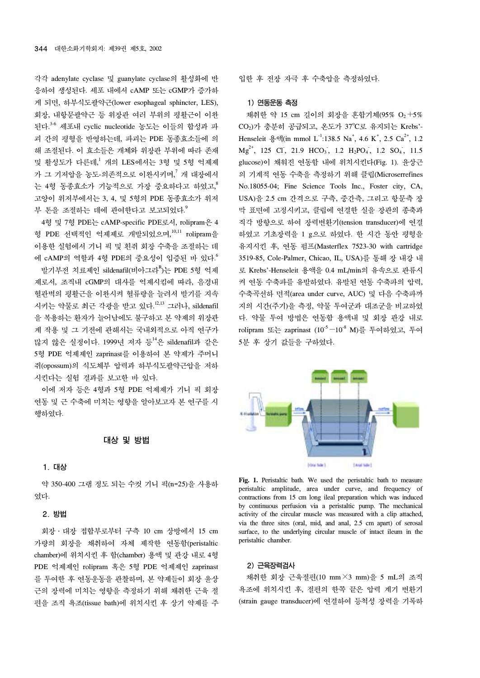각각 adenylate cyclase 및 guanylate cyclase의 활성화에 반 응하여 생성된다. 세포 내에서 cAMP 또는 cGMP가 증가하 게 되면, 하부식도괄약근(lower esophageal sphincter, LES), 회장, 내항문괄약근 등 위장관 여러 부위의 평활근이 이완 된다. 3-6 세포내 cyclic nucleotide 농도는 이들의 합성과 파 괴 간의 평형을 반영하는데, 파괴는 PDE 동종효소들에 의 해 조절된다. 이 효소들은 개체와 위장관 부위에 따라 존재 및 활성도가 다른데, <sup>1</sup> 개의 LES에서는 3형 및 5형 억제제 가 그 기저압을 농도-의존적으로 이완시키며,<sup>7</sup> 개 대장에서 는 4형 동종효소가 기능적으로 가장 중요하다고 하였고,<sup>8</sup> 고양이 위저부에서는 3, 4, 및 5형의 PDE 동종효소가 위저 부 톤을 조절하는 데에 관여한다고 보고되었다.<sup>9</sup>

4형 및 7형 PDE는 cAMP-specific PDE로서, rolipram은 4 형 PDE 선택적인 억제제로 개발되었으며,<sup>10,11</sup> rolipram을 이용한 실험에서 기니 픽 및 흰쥐 회장 수축을 조절하는 데 에 cAMP의 역할과 4형 PDE의 중요성이 입증된 바 있다.<sup>6</sup> 발기부전 치료제인 sildenafil(비아그라<sup>R</sup>)는 PDE 5형 억제 제로서, 조직내 cGMP의 대사를 억제시킴에 따라, 음경내 혈관벽의 평활근을 이완시켜 혈류량을 늘려서 발기를 지속 시키는 약물로 최근 각광을 받고 있다.<sup>12,13</sup> 그러나, sildenafil 을 복용하는 환자가 늘어남에도 불구하고 본 약제의 위장관 계 작용 및 그 기전에 관해서는 국내외적으로 아직 연구가 많지 않은 실정이다. 1999년 저자 등<sup>14</sup>은 sildenafil과 같은 5형 PDE 억제제인 zaprinast를 이용하여 본 약제가 주머니 쥐(opossum)의 식도체부 압력과 하부식도괄약근압을 저하 시킨다는 실험 결과를 보고한 바 있다.

이에 저자 등은 4형과 5형 PDE 억제제가 기니 픽 회장 연동 및 근 수축에 미치는 영향을 알아보고자 본 연구를 시 행하였다.

#### 대상 및 방법

#### 1. 대상

약 350-400 그램 정도 되는 수컷 기니 픽(n=25)을 사용하 였다.

# 2. 방법

회장·대장 접합부로부터 구측 10 cm 상방에서 15 cm 가량의 회장을 채취하여 자체 제작한 연동함(peristaltic chamber)에 위치시킨 후 함(chamber) 용액 및 관강 내로 4형 PDE 억제제인 rolipram 혹은 5형 PDE 억제제인 zaprinast 를 투여한 후 연동운동을 관찰하며, 본 약제들이 회장 윤상 근의 장력에 미치는 영향을 측정하기 위해 채취한 근육 절 편을 조직 욕조(tissue bath)에 위치시킨 후 상기 약제를 주 입한 후 전장 자극 후 수축압을 측정하였다.

### 1) 연동운동 측정

채취한 약 15 cm 길이의 회장을 혼합기체(95%  $O<sub>2</sub> + 5%$ CO<sub>2</sub>)가 충분히 공급되고, 온도가 37°C로 유지되는 Krebs'-Henseleit  $\frac{8}{3}$ 액(in mmol L<sup>-1</sup>:138.5 Na<sup>+</sup>, 4.6 K<sup>+</sup>, 2.5 Ca<sup>2+</sup>, 1.2  ${Mg}^{2^+}$ , 125 Cl, 21.9 HCO<sub>3</sub>, 1.2 H<sub>2</sub>PO<sub>4</sub>, 1.2 SO<sub>4</sub>, 11.5 glucose)이 채워진 연동함 내에 위치시킨다(Fig. 1). 윤상근 의 기계적 연동 수축을 측정하기 위해 클립(Microserrefines No.18055-04; Fine Science Tools Inc., Foster city, CA, USA)을 2.5 cm 간격으로 구측, 중간측, 그리고 항문측 장 막 표면에 고정시키고, 클립에 연결한 실을 장관의 종축과 직각 방향으로 하여 장력변환기(tension transducer)에 연결 하였고 기초장력을 1 g으로 하였다. 한 시간 동안 평형을 유지시킨 후, 연동 펌프(Masterflex 7523-30 with cartridge 3519-85, Cole-Palmer, Chicao, IL, USA)를 통해 장 내강 내 로 Krebs'-Henseleit 용액을 0.4 mL/min의 유속으로 관류시 켜 연동 수축파를 유발하였다. 유발된 연동 수축파의 압력, 수축곡선하 면적(area under curve, AUC) 및 다음 수축파까 지의 시간(주기)을 측정, 약물 투여군과 대조군을 비교하였 다. 약물 투여 방법은 연동함 용액내 및 회장 관강 내로 rolipram 또는 zaprinast  $(10^{-5}-10^{-8}$  M)를 투여하였고, 투여 5분 후 상기 값들을 구하였다.



**Fig. 1.** Peristaltic bath. We used the peristaltic bath to measure peristaltic amplitude, area under curve, and frequency of contractions from 15 cm long ileal preparation which was induced by continuous perfusion via a peristaltic pump. The mechanical activity of the circular muscle was measured with a clip attached, via the three sites (oral, mid, and anal, 2.5 cm apart) of serosal surface, to the underlying circular muscle of intact ileum in the peristaltic chamber.

#### 2) 근육장력검사

채취한 회장 근육절편(10 mm×3 mm)을 5 mL의 조직 욕조에 위치시킨 후, 절편의 한쪽 끝은 압력 계기 변환기 (strain gauge transducer)에 연결하여 등척성 장력을 기록하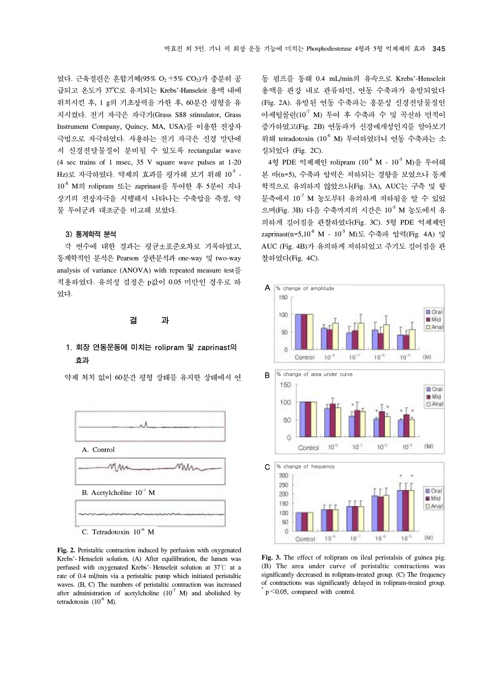였다. 근육절편은 혼합기체(95%  $O<sub>2</sub>$ +5%  $CO<sub>2</sub>$ )가 충분히 공 급되고 온도가 37°C로 유지되는 Krebs'-Hanseleit 용액 내에 위치시킨 후,1g의 기초장력을 가한 후, 60분간 평형을 유 지시켰다. 전기 자극은 자극기(Grass S88 stimulator, Grass Instrument Company, Quincy, MA, USA)를 이용한 전장자 극법으로 자극하였다. 사용하는 전기 자극은 신경 말단에 서 신경전달물질이 분비될 수 있도록 rectangular wave (4 sec trains of 1 msec, 35 V square wave pulses at 1-20  $Hz$ )로 자극하였다. 약제의 효과를 평가해 보기 위해  $10^{-5}$  -10-8 M의 rolipram 또는 zaprinast를 투여한 후 5분이 지나 상기의 전장자극을 시행해서 나타나는 수축압을 측정, 약 물 투여군과 대조군을 비교해 보았다.

#### 3) 통계학적 분석

각 변수에 대한 결과는 평균±표준오차로 기록하였고, 통계학적인 분석은 Pearson 상관분석과 one-way 및 two-way analysis of variance (ANOVA) with repeated measure test를 적용하였다. 유의성 검정은 p값이 0.05 미만인 경우로 하 였다.

# 결 과

# 1. 회장 연동운동에 미치는 rolipram 및 zaprinast의 효과



약제 처치 없이 60분간 평형 상태를 유지한 상태에서 연

**Fig. 2.** Peristaltic contraction induced by perfusion with oxygenated Krebs'- Henseleit solution. (A) After equilibration, the lumen was perfused with oxygenated Krebs'- Henseleit solution at 37℃ at a rate of 0.4 ml/min via a peristaltic pump which initiated peristaltic waves. (B, C) The numbers of peristaltic contraction was increased after administration of acetylcholine  $(10^7 \text{ M})$  and abolished by tetradotoxin  $(10^{-6}$  M).

동 펌프를 통해 0.4 mL/min의 유속으로 Krebs'-Henseleit 용액을 관강 내로 관류하면, 연동 수축파가 유발되었다 (Fig. 2A). 유발된 연동 수축파는 흥분성 신경전달물질인 아세틸콜린 $(10^{-7}$  M) 투여 후 수축파 수 및 곡선하 면적이 증가하였고(Fig. 2B) 연동파가 신경매개성인지를 알아보기 위해 tetradotoxin (10-6 M) 투여하였더니 연동 수축파는 소 실되었다 (Fig. 2C).

4형 PDE 억제제인 rolipram (10-8 M - 10-5 M)을 투여해 본 바(n=5), 수축파 압력은 저하되는 경향을 보였으나 통계 학적으로 유의하지 않았으나(Fig. 3A), AUC는 구측 및 항 문측에서 10-7 M 농도부터 유의하게 저하됨을 알 수 있었 으며(Fig. 3B) 다음 수축까지의 시가은 10<sup>-5</sup> M 농도에서 유 의하게 길어짐을 관찰하였다(Fig. 3C). 5형 PDE 억제제인  $z$ aprinast(n=5,10 $^{8}$  M - 10 $^{5}$  M)도 수축파 압력(Fig. 4A) 및 AUC (Fig. 4B)가 유의하게 저하되었고 주기도 길어짐을 관 찰하였다(Fig. 4C).



**Fig. 3.** The effect of rolipram on ileal peristalsis of guinea pig. (B) The area under curve of peristaltic contractions was significantly decreased in rolipram-treated group. (C) The frequency of contractions was significantly delayed in rolipram-treated group.  $p$ <0.05, compared with control.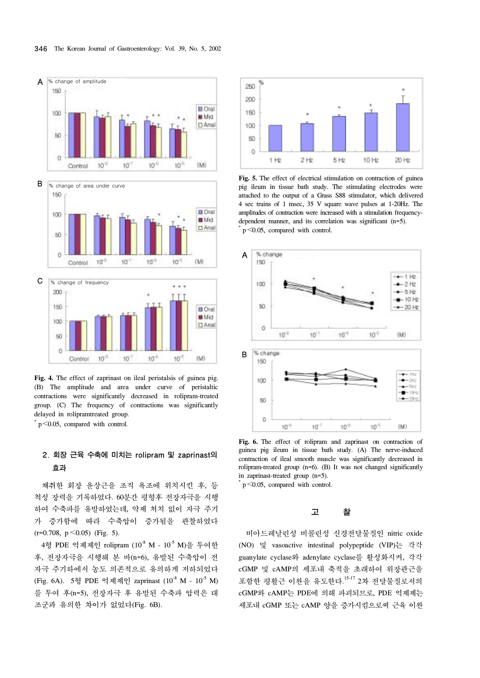

**Fig. 4.** The effect of zaprinast on ileal peristalsis of guinea pig. (B) The amplitude and area under curve of peristaltic contractions were significantly decreased in rolipram-treated group. (C) The frequency of contractions was significantly delayed in rolipramtreated group.

 $p \leq 0.05$ , compared with control.

# 2. 회장 근육 수축에 미치는 rolipram 및 zaprinast의 효과

채취한 회장 윤상근을 조직 욕조에 위치시킨 후, 등 척성 장력을 기록하였다. 60분간 평형후 전장자극을 시행 하여 수축파를 유발하였는데, 약제 처치 없이 자극 주기 가 증가함에 따라 수축압이 증가됨을 관찰하였다  $(r=0.708, p \le 0.05)$  (Fig. 5).

4형 PDE 억제제인 rolipram (10-8 M - 10-5 M)을 투여한 후, 전장자극을 시행해 본 바(n=6), 유발된 수축압이 전 자극 주기하에서 농도 의존적으로 유의하게 저하되었다 (Fig. 6A). 5형 PDE 억제제인 zaprinast (10-8 M - 10-5 M) 를 투여 후(n=5), 전장자극 후 유발된 수축파 압력은 대 조군과 유의한 차이가 없었다(Fig. 6B).



**Fig. 5.** The effect of electrical stimulation on contraction of guinea pig ileum in tissue bath study. The stimulating electrodes were attached to the output of a Grass S88 stimulator, which delivered 4 sec trains of 1 msec, 35 V square wave pulses at 1-20Hz. The amplitudes of contraction were increased with a stimulation frequencydependent manner, and its correlation was significant (n=5).  $p$ <0.05, compared with control.



**Fig. 6.** The effect of rolipram and zaprinast on contraction of guinea pig ileum in tissue bath study. (A) The nerve-induced contraction of ileal smooth muscle was significantly decreased in rolipram-treated group (n=6). (B) It was not changed significantly in zaprinast-treated group (n=5).

 $p$ <0.05, compared with control.

#### 고 찰

비아드레날린성 비콜린성 신경전달물질인 nitric oxide (NO) 및 vasoactive intestinal polypeptide (VIP)는 각각 guanylate cyclase와 adenylate cyclase를 활성화시켜, 각각 cGMP 및 cAMP의 세포내 축적을 초래하여 위장관근을 포함한 평활근 이완을 유도한다. 15-17 2차 전달물질로서의 cGMP와 cAMP는 PDE에 의해 파괴되므로, PDE 억제제는 세포내 cGMP 또는 cAMP 양을 증가시킴으로써 근육 이완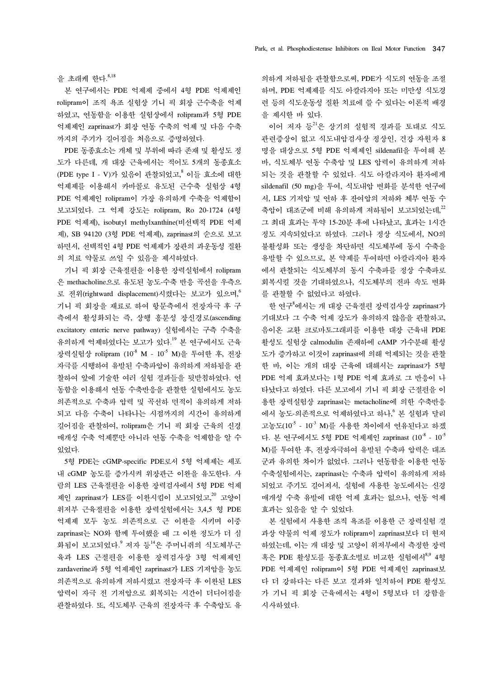을 초래케 한다. 8,18

본 연구에서는 PDE 억제제 중에서 4형 PDE 억제제인 rolipram이 조직 욕조 실험상 기니 픽 회장 근수축을 억제 하였고, 연동함을 이용한 실험상에서 rolipram과 5형 PDE 억제제인 zaprinast가 회장 연동 수축의 억제 및 다음 수축 까지의 주기가 길어짐을 처음으로 증명하였다.

PDE 동종효소는 개체 및 부위에 따라 존재 및 활성도 정 도가 다른데, 개 대장 근육에서는 적어도 5개의 동종효소 (PDE type I - V)가 있음이 관찰되었고, <sup>8</sup> 이들 효소에 대한 억제제를 이용해서 카바콜로 유도된 근수축 실험상 4형 PDE 억제제인 rolipram이 가장 유의하게 수축을 억제함이 보고되었다. 그 억제 강도는 rolipram, Ro 20-1724 (4형 PDE 억제제), isobutyl methylxanthine(비선택적 PDE 억제 제), SB 94120 (3형 PDE 억제제), zaprinast의 순으로 보고 하면서, 선택적인 4형 PDE 억제제가 장관의 과운동성 질환 의 치료 약물로 쓰일 수 있음을 제시하였다.

기니 픽 회장 근육절편을 이용한 장력실험에서 rolipram 은 methacholine으로 유도된 농도-수축 반응 곡선을 우측으 로 전위(rightward displacement)시켰다는 보고가 있으며,  $^6$ 기니 픽 회장을 재료로 하여 항문측에서 전장자극 후 구 측에서 활성화되는 즉, 상행 흥분성 장신경로(ascending excitatory enteric nerve pathway) 실험에서는 구측 수축을 유의하게 억제하였다는 보고가 있다. <sup>19</sup> 본 연구에서도 근육 장력실험상 rolipram  $(10^8 \text{ M} - 10^5 \text{ M})$ 을 투여한 후, 전장 자극를 시행하여 유발된 수축파압이 유의하게 저하됨을 관 찰하여 앞에 기술한 여러 실험 결과들을 뒷받침하였다. 연 동함을 이용해서 연동 수축반응을 관찰한 실험에서도 농도 의존적으로 수축파 압력 및 곡선하 면적이 유의하게 저하 되고 다음 수축이 나타나는 시점까지의 시간이 유의하게 길어짐을 관찰하여, rolipram은 기니 픽 회장 근육의 신경 매개성 수축 억제뿐만 아니라 연동 수축을 억제함을 알 수 있었다.

5형 PDE는 cGMP-specific PDE로서 5형 억제제는 세포 내 cGMP 농도를 증가시켜 위장관근 이완을 유도한다. 사 람의 LES 근육절편을 이용한 장력검사에서 5형 PDE 억제 제인 zaprinast가 LES를 이완시킴이 보고되었고,<sup>20</sup> 고양이 위저부 근육절편을 이용한 장력실험에서는 3,4,5 형 PDE 억제제 모두 농도 의존적으로 근 이완을 시키며 이중 zaprinast는 NO와 함께 투여했을 때 그 이완 정도가 더 심 화됨이 보고되었다.<sup>9</sup> 저자 등<sup>14</sup>은 주머니쥐의 식도체부근 육과 LES 근절편을 이용한 장력검사상 3형 억제제인 zardaverine과 5형 억제제인 zaprinast가 LES 기저압을 농도 의존적으로 유의하게 저하시켰고 전장자극 후 이완된 LES 압력이 자극 전 기저압으로 회복되는 시간이 더디어짐을 관찰하였다. 또, 식도체부 근육의 전장자극 후 수축압도 유 의하게 저하됨을 관찰함으로써, PDE가 식도의 연동을 조절 하며, PDE 억제제를 식도 아칼라지아 또는 미만성 식도경 련 등의 식도운동성 질환 치료에 쓸 수 있다는 이론적 배경 을 제시한 바 있다.

이어 저자 등<sup>21</sup>은 상기의 실험적 결과를 토대로 식도 관련증상이 없고 식도내압검사상 정상인, 건강 자원자 8 명을 대상으로 5형 PDE 억제제인 sildenafil을 투여해 본 바, 식도체부 연동 수축압 및 LES 압력이 유의하게 저하 되는 것을 관찰할 수 있었다. 식도 아칼라지아 환자에게 sildenafil (50 mg)을 투여, 식도내압 변화를 분석한 연구에 서, LES 기저압 및 연하 후 잔여압의 저하와 체부 연동 수 축압이 대조군에 비해 유의하게 저하됨이 보고되었는데,<sup>22</sup> 그 최대 효과는 투약 15-20분 후에 나타났고, 효과는 1시간 정도 지속되었다고 하였다. 그러나 정상 식도에서, NO의 불활성화 또는 생성을 차단하면 식도체부에 동시 수축을 유발할 수 있으므로, 본 약제를 투여하면 아칼라지아 환자 에서 관찰되는 식도체부의 동시 수축파를 정상 수축파로 회복시킬 것을 기대하였으나, 식도체부의 전파 속도 변화 를 관찰할 수 없었다고 하였다.

한 연구<sup>8</sup>에서는 개 대장 근육절편 장력검사상 zaprinast가 기대보다 그 수축 억제 강도가 유의하지 않음을 관찰하고, 음이온 교환 크로마토그래피를 이용한 대장 근육내 PDE 활성도 실험상 calmodulin 존재하에 cAMP 가수분해 활성 도가 증가하고 이것이 zaprinast에 의해 억제되는 것을 관찰 한 바, 이는 개의 대장 근육에 대해서는 zaprinast가 5형 PDE 억제 효과보다는 1형 PDE 억제 효과로 그 반응이 나 타났다고 하였다. 다른 보고에서 기니 픽 회장 근절편을 이 용한 장력실험상 zaprinast는 metacholine에 의한 수축반응 에서 농도-의존적으로 억제하였다고 하나, <sup>6</sup> 본 실험과 달리 고농도 $(10^{-5} - 10^{-3})$  M)를 사용한 차이에서 연유된다고 하겠 다. 본 연구에서도 5형 PDE 억제제인 zaprinast  $(10^8 - 10^{-5})$ M)를 투여한 후, 전장자극하여 유발된 수축파 압력은 대조 군과 유의한 차이가 없었다. 그러나 연동함을 이용한 연동 수축실험에서는, zaprinast는 수축파 압력이 유의하게 저하 되었고 주기도 길어져서, 실험에 사용한 농도에서는 신경 매개성 수축 유발에 대한 억제 효과는 없으나, 연동 억제 효과는 있음을 알 수 있었다.

본 실험에서 사용한 조직 욕조를 이용한 근 장력실험 결 과상 약물의 억제 정도가 rolipram이 zaprinast보다 더 현저 하였는데, 이는 개 대장 및 고양이 위저부에서 측정한 장력 혹은 PDE 활성도를 동종효소별로 비교한 실험에서<sup>8,9</sup> 4형 PDE 억제제인 rolipram이 5형 PDE 억제제인 zaprinast보 다 더 강하다는 다른 보고 결과와 일치하여 PDE 활성도 가 기니 픽 회장 근육에서는 4형이 5형보다 더 강함을 시사하였다.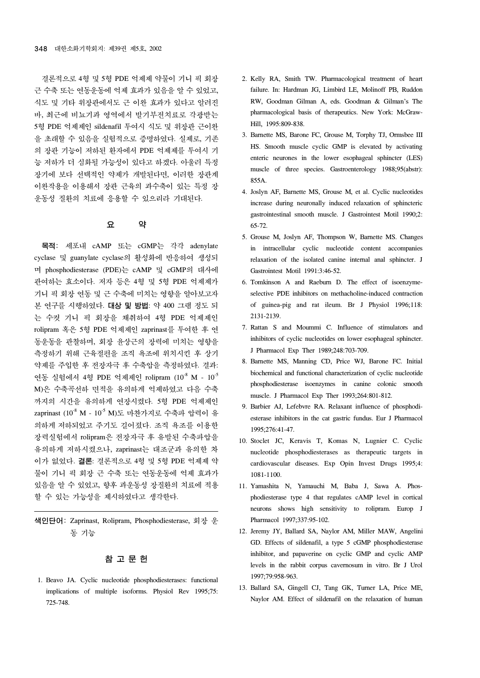결론적으로 4형 및 5형 PDE 억제제 약물이 기니 픽 회장 근 수축 또는 연동운동에 억제 효과가 있음을 알 수 있었고, 식도 및 기타 위장관에서도 근 이완 효과가 있다고 알려진 바, 최근에 비뇨기과 영역에서 발기부전치료로 각광받는 5형 PDE 억제제인 sildenafil 투여시 식도 및 위장관 근이완 을 초래할 수 있음을 실험적으로 증명하였다. 실제로, 기존 의 장관 기능이 저하된 환자에서 PDE 억제제를 투여시 기 능 저하가 더 심화될 가능성이 있다고 하겠다. 아울러 특정 장기에 보다 선택적인 약제가 개발된다면, 이러한 장관계 이완작용을 이용해서 장관 근육의 과수축이 있는 특정 장 운동성 질환의 치료에 응용할 수 있으리라 기대된다.

## 요 약

목적: 세포내 cAMP 또는 cGMP는 각각 adenylate cyclase 및 guanylate cyclase의 활성화에 반응하여 생성되 며 phosphodiesterase (PDE)는 cAMP 및 cGMP의 대사에 관여하는 효소이다. 저자 등은 4형 및 5형 PDE 억제제가 기니 픽 회장 연동 및 근 수축에 미치는 영향을 알아보고자 본 연구를 시행하였다. 대상 및 방법: 약 400 그램 정도 되 는 수컷 기니 픽 회장을 채취하여 4형 PDE 억제제인 rolipram 혹은 5형 PDE 억제제인 zaprinast를 투여한 후 연 동운동을 관찰하며, 회장 윤상근의 장력에 미치는 영향을 측정하기 위해 근육절편을 조직 욕조에 위치시킨 후 상기 약제를 주입한 후 전장자극 후 수축압을 측정하였다. 결과: 연동 실험에서 4형 PDE 억제제인 rolipram  $(10^{-8}$  M -  $10^{-5}$ M)은 수축곡선하 면적을 유의하게 억제하였고 다음 수축 까지의 시간을 유의하게 연장시켰다. 5형 PDE 억제제인 zaprinast (10-8 M - 10-5 M)도 마찬가지로 수축파 압력이 유 의하게 저하되었고 주기도 길어졌다. 조직 욕조를 이용한 장력실험에서 rolipram은 전장자극 후 유발된 수축파압을 유의하게 저하시켰으나, zaprinast는 대조군과 유의한 차 이가 없었다. 결론: 결론적으로 4형 및 5형 PDE 억제제 약 물이 기니 픽 회장 근 수축 또는 연동운동에 억제 효과가 있음을 알 수 있었고, 향후 과운동성 장질환의 치료에 적용 할 수 있는 가능성을 제시하였다고 생각한다.

색인단어: Zaprinast, Rolipram, Phosphodiesterase, 회장 운 동 기능

# 참 고 문 헌

1. Beavo JA. Cyclic nucleotide phosphodiesterases: functional implications of multiple isoforms. Physiol Rev 1995;75: 725-748.

- 2. Kelly RA, Smith TW. Pharmacological treatment of heart failure. In: Hardman JG, Limbird LE, Molinoff PB, Ruddon RW, Goodman Gilman A, eds. Goodman & Gilman's The pharmacological basis of therapeutics. New York: McGraw-Hill, 1995:809-838.
- 3. Barnette MS, Barone FC, Grouse M, Torphy TJ, Ormsbee III HS. Smooth muscle cyclic GMP is elevated by activating enteric neurones in the lower esophageal sphincter (LES) muscle of three species. Gastroenterology 1988;95(abstr): 855A.
- 4. Joslyn AF, Barnette MS, Grouse M, et al. Cyclic nucleotides increase during neuronally induced relaxation of sphincteric gastrointestinal smooth muscle. J Gastrointest Motil 1990;2: 65-72.
- 5. Grouse M, Joslyn AF, Thompson W, Barnette MS. Changes in intracellular cyclic nucleotide content accompanies relaxation of the isolated canine internal anal sphincter. J Gastrointest Motil 1991:3:46-52.
- 6. Tomkinson A and Raeburn D. The effect of isoenzymeselective PDE inhibitors on methacholine-induced contraction of guinea-pig and rat ileum. Br J Physiol 1996;118: 2131-2139.
- 7. Rattan S and Moummi C. Influence of stimulators and inhibitors of cyclic nucleotides on lower esophageal sphincter. J Pharmacol Exp Ther 1989;248:703-709.
- 8. Barnette MS, Manning CD, Price WJ, Barone FC. Initial biochemical and functional characterization of cyclic nucleotide phosphodiesterase isoenzymes in canine colonic smooth muscle. J Pharmacol Exp Ther 1993;264:801-812.
- 9. Barbier AJ, Lefebvre RA. Relaxant influence of phosphodiesterase inhibitors in the cat gastric fundus. Eur J Pharmacol 1995;276:41-47.
- 10. Stoclet JC, Keravis T, Komas N, Lugnier C. Cyclic nucleotide phosphodiesterases as therapeutic targets in cardiovascular diseases. Exp Opin Invest Drugs 1995;4: 1081-1100.
- 11. Yamashita N, Yamauchi M, Baba J, Sawa A. Phosphodiesterase type 4 that regulates cAMP level in cortical neurons shows high sensitivity to rolipram. Europ J Pharmacol 1997;337:95-102.
- 12. Jeremy JY, Ballard SA, Naylor AM, Miller MAW, Angelini GD. Effects of sildenafil, a type 5 cGMP phosphodiesterase inhibitor, and papaverine on cyclic GMP and cyclic AMP levels in the rabbit corpus cavernosum in vitro. Br J Urol 1997;79:958-963.
- 13. Ballard SA, Gingell CJ, Tang GK, Turner LA, Price ME, Naylor AM. Effect of sildenafil on the relaxation of human